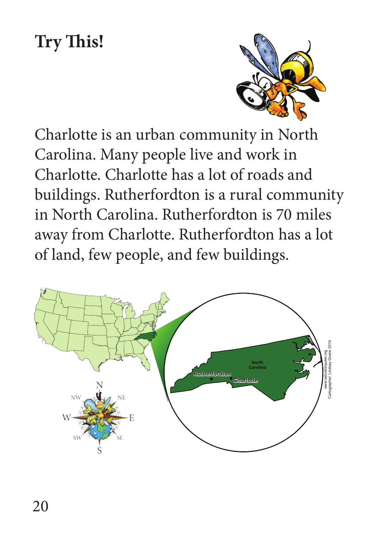## **Try This!**



Charlotte is an urban community in North Carolina. Many people live and work in Charlotte. Charlotte has a lot of roads and buildings. Rutherfordton is a rural community in North Carolina. Rutherfordton is 70 miles away from Charlotte. Rutherfordton has a lot of land, few people, and few buildings.

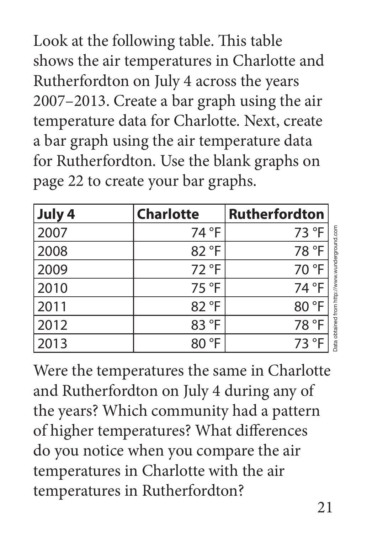Look at the following table. This table shows the air temperatures in Charlotte and Rutherfordton on July 4 across the years 2007–2013. Create a bar graph using the air temperature data for Charlotte. Next, create a bar graph using the air temperature data for Rutherfordton. Use the blank graphs on page 22 to create your bar graphs.

| July 4 | <b>Charlotte</b> | <b>Rutherfordton</b> |
|--------|------------------|----------------------|
| 2007   | 74 °F            | 73 °F                |
| 2008   | 82 °F            | 78 °F                |
| 2009   | 72 °F            | 70 °F                |
| 2010   | 75 °F            | 74 °F                |
| 2011   | 82 °F            | 80 °F                |
| 2012   | 83 °F            | 78 °F                |
| 2013   | 80 °F            | 73 °F                |

Were the temperatures the same in Charlotte and Rutherfordton on July 4 during any of the years? Which community had a pattern of higher temperatures? What differences do you notice when you compare the air temperatures in Charlotte with the air temperatures in Rutherfordton?